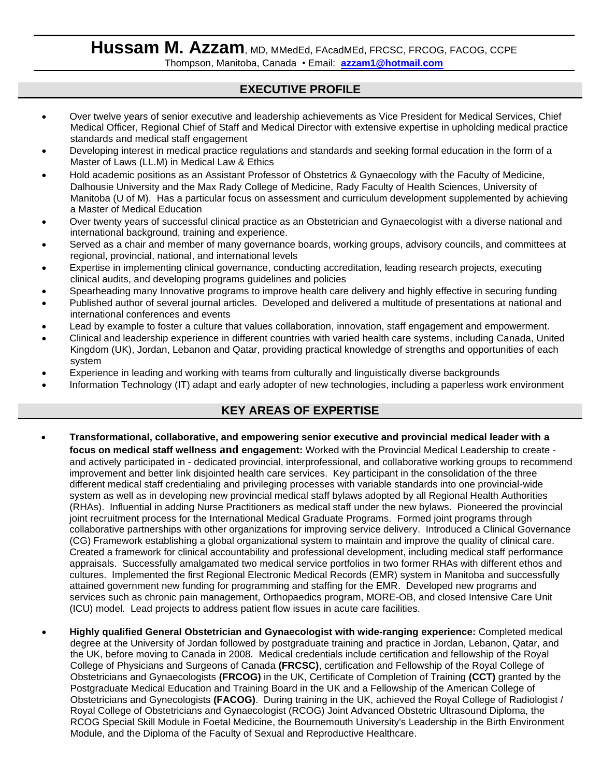# Hussam M. Azzam, MD, MMedEd, FAcadMEd, FRCSC, FRCOG, FACOG, CCPE Thompson, Manitoba, Canada • Email: **[azzam1@hotmail.com](mailto:azzam1@hotmail.com)**

# **EXECUTIVE PROFILE**

- Over twelve years of senior executive and leadership achievements as Vice President for Medical Services, Chief Medical Officer, Regional Chief of Staff and Medical Director with extensive expertise in upholding medical practice standards and medical staff engagement
- Developing interest in medical practice regulations and standards and seeking formal education in the form of a Master of Laws (LL.M) in Medical Law & Ethics
- Hold academic positions as an Assistant Professor of Obstetrics & Gynaecology with the Faculty of Medicine, Dalhousie University and the Max Rady College of Medicine, Rady Faculty of Health Sciences, University of Manitoba (U of M). Has a particular focus on assessment and curriculum development supplemented by achieving a Master of Medical Education
- Over twenty years of successful clinical practice as an Obstetrician and Gynaecologist with a diverse national and international background, training and experience.
- Served as a chair and member of many governance boards, working groups, advisory councils, and committees at regional, provincial, national, and international levels
- Expertise in implementing clinical governance, conducting accreditation, leading research projects, executing clinical audits, and developing programs guidelines and policies
- Spearheading many Innovative programs to improve health care delivery and highly effective in securing funding
- Published author of several journal articles. Developed and delivered a multitude of presentations at national and international conferences and events
- Lead by example to foster a culture that values collaboration, innovation, staff engagement and empowerment.
- Clinical and leadership experience in different countries with varied health care systems, including Canada, United Kingdom (UK), Jordan, Lebanon and Qatar, providing practical knowledge of strengths and opportunities of each system
- Experience in leading and working with teams from culturally and linguistically diverse backgrounds
- Information Technology (IT) adapt and early adopter of new technologies, including a paperless work environment

# **KEY AREAS OF EXPERTISE**

- **Transformational, collaborative, and empowering senior executive and provincial medical leader with a focus on medical staff wellness and engagement:** Worked with the Provincial Medical Leadership to create and actively participated in - dedicated provincial, interprofessional, and collaborative working groups to recommend improvement and better link disjointed health care services. Key participant in the consolidation of the three different medical staff credentialing and privileging processes with variable standards into one provincial-wide system as well as in developing new provincial medical staff bylaws adopted by all Regional Health Authorities (RHAs). Influential in adding Nurse Practitioners as medical staff under the new bylaws. Pioneered the provincial joint recruitment process for the International Medical Graduate Programs. Formed joint programs through collaborative partnerships with other organizations for improving service delivery. Introduced a Clinical Governance (CG) Framework establishing a global organizational system to maintain and improve the quality of clinical care. Created a framework for clinical accountability and professional development, including medical staff performance appraisals. Successfully amalgamated two medical service portfolios in two former RHAs with different ethos and cultures. Implemented the first Regional Electronic Medical Records (EMR) system in Manitoba and successfully attained government new funding for programming and staffing for the EMR. Developed new programs and services such as chronic pain management, Orthopaedics program, MORE-OB, and closed Intensive Care Unit (ICU) model. Lead projects to address patient flow issues in acute care facilities.
- **Highly qualified General Obstetrician and Gynaecologist with wide-ranging experience:** Completed medical degree at the University of Jordan followed by postgraduate training and practice in Jordan, Lebanon, Qatar, and the UK, before moving to Canada in 2008. Medical credentials include certification and fellowship of the Royal College of Physicians and Surgeons of Canada **(FRCSC)**, certification and Fellowship of the Royal College of Obstetricians and Gynaecologists **(FRCOG)** in the UK, Certificate of Completion of Training **(CCT)** granted by the Postgraduate Medical Education and Training Board in the UK and a Fellowship of the American College of Obstetricians and Gynecologists **(FACOG)**. During training in the UK, achieved the Royal College of Radiologist / Royal College of Obstetricians and Gynaecologist (RCOG) Joint Advanced Obstetric Ultrasound Diploma, the RCOG Special Skill Module in Foetal Medicine, the Bournemouth University's Leadership in the Birth Environment Module, and the Diploma of the Faculty of Sexual and Reproductive Healthcare.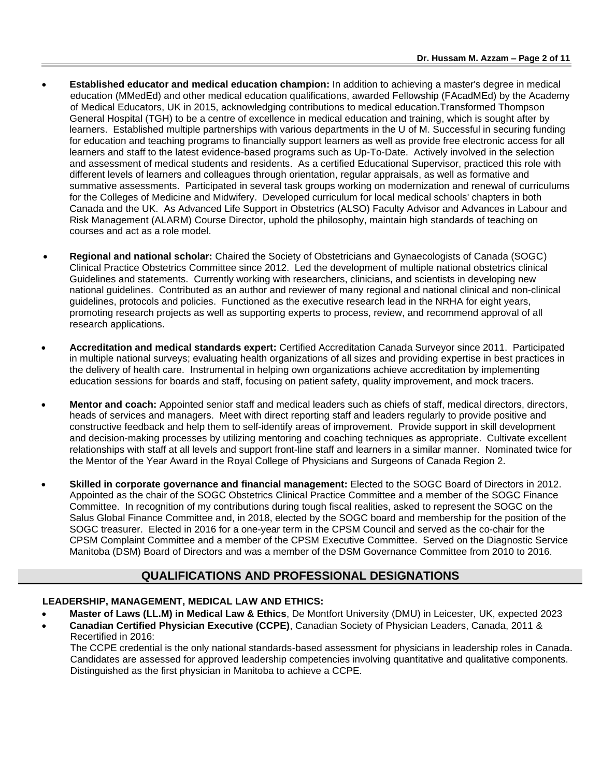- **Established educator and medical education champion:** In addition to achieving a master's degree in medical education (MMedEd) and other medical education qualifications, awarded Fellowship (FAcadMEd) by the Academy of Medical Educators, UK in 2015, acknowledging contributions to medical education.Transformed Thompson General Hospital (TGH) to be a centre of excellence in medical education and training, which is sought after by learners. Established multiple partnerships with various departments in the U of M. Successful in securing funding for education and teaching programs to financially support learners as well as provide free electronic access for all learners and staff to the latest evidence-based programs such as Up-To-Date. Actively involved in the selection and assessment of medical students and residents. As a certified Educational Supervisor, practiced this role with different levels of learners and colleagues through orientation, regular appraisals, as well as formative and summative assessments. Participated in several task groups working on modernization and renewal of curriculums for the Colleges of Medicine and Midwifery. Developed curriculum for local medical schools' chapters in both Canada and the UK. As Advanced Life Support in Obstetrics (ALSO) Faculty Advisor and Advances in Labour and Risk Management (ALARM) Course Director, uphold the philosophy, maintain high standards of teaching on courses and act as a role model.
- **Regional and national scholar:** Chaired the Society of Obstetricians and Gynaecologists of Canada (SOGC) Clinical Practice Obstetrics Committee since 2012. Led the development of multiple national obstetrics clinical Guidelines and statements. Currently working with researchers, clinicians, and scientists in developing new national guidelines. Contributed as an author and reviewer of many regional and national clinical and non-clinical guidelines, protocols and policies. Functioned as the executive research lead in the NRHA for eight years, promoting research projects as well as supporting experts to process, review, and recommend approval of all research applications.
- **Accreditation and medical standards expert:** Certified Accreditation Canada Surveyor since 2011. Participated in multiple national surveys; evaluating health organizations of all sizes and providing expertise in best practices in the delivery of health care. Instrumental in helping own organizations achieve accreditation by implementing education sessions for boards and staff, focusing on patient safety, quality improvement, and mock tracers.
- **Mentor and coach:** Appointed senior staff and medical leaders such as chiefs of staff, medical directors, directors, heads of services and managers. Meet with direct reporting staff and leaders regularly to provide positive and constructive feedback and help them to self-identify areas of improvement. Provide support in skill development and decision-making processes by utilizing mentoring and coaching techniques as appropriate. Cultivate excellent relationships with staff at all levels and support front-line staff and learners in a similar manner. Nominated twice for the Mentor of the Year Award in the Royal College of Physicians and Surgeons of Canada Region 2.
- **Skilled in corporate governance and financial management:** Elected to the SOGC Board of Directors in 2012. Appointed as the chair of the SOGC Obstetrics Clinical Practice Committee and a member of the SOGC Finance Committee. In recognition of my contributions during tough fiscal realities, asked to represent the SOGC on the Salus Global Finance Committee and, in 2018, elected by the SOGC board and membership for the position of the SOGC treasurer. Elected in 2016 for a one-year term in the CPSM Council and served as the co-chair for the CPSM Complaint Committee and a member of the CPSM Executive Committee. Served on the Diagnostic Service Manitoba (DSM) Board of Directors and was a member of the DSM Governance Committee from 2010 to 2016.

## **QUALIFICATIONS AND PROFESSIONAL DESIGNATIONS**

## **LEADERSHIP, MANAGEMENT, MEDICAL LAW AND ETHICS:**

- **Master of Laws (LL.M) in Medical Law & Ethics**, De Montfort University (DMU) in Leicester, UK, expected 2023
- **Canadian Certified Physician Executive (CCPE)**, Canadian Society of Physician Leaders, Canada, 2011 & Recertified in 2016:

The CCPE credential is the only national standards-based assessment for physicians in leadership roles in Canada. Candidates are assessed for approved leadership competencies involving quantitative and qualitative components. Distinguished as the first physician in Manitoba to achieve a CCPE.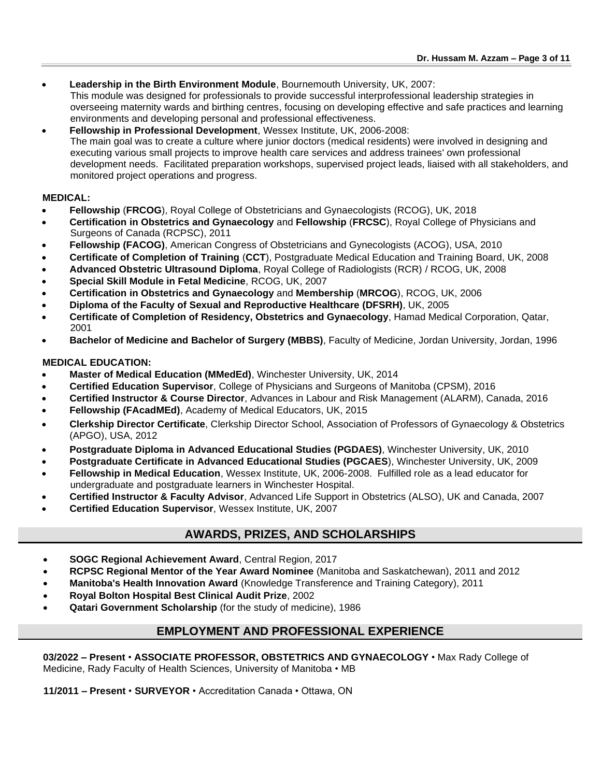• **Leadership in the Birth Environment Module**, Bournemouth University, UK, 2007:

This module was designed for professionals to provide successful interprofessional leadership strategies in overseeing maternity wards and birthing centres, focusing on developing effective and safe practices and learning environments and developing personal and professional effectiveness.

• **Fellowship in Professional Development**, Wessex Institute, UK, 2006-2008: The main goal was to create a culture where junior doctors (medical residents) were involved in designing and executing various small projects to improve health care services and address trainees' own professional development needs. Facilitated preparation workshops, supervised project leads, liaised with all stakeholders, and monitored project operations and progress.

### **MEDICAL:**

- **Fellowship** (**FRCOG**), Royal College of Obstetricians and Gynaecologists (RCOG), UK, 2018
- **Certification in Obstetrics and Gynaecology** and **Fellowship** (**FRCSC**), Royal College of Physicians and Surgeons of Canada (RCPSC), 2011
- **Fellowship (FACOG)**, American Congress of [Obstetricians and Gynecologists](http://www.acog.org/) (ACOG), USA, 2010
- **Certificate of Completion of Training** (**CCT**), Postgraduate Medical Education and Training Board, UK, 2008
- **Advanced Obstetric Ultrasound Diploma**, Royal College of Radiologists (RCR) / RCOG, UK, 2008
- **Special Skill Module in Fetal Medicine**, RCOG, UK, 2007
- **Certification in Obstetrics and Gynaecology** and **Membership** (**MRCOG**), RCOG, UK, 2006
- **Diploma of the Faculty of Sexual and Reproductive Healthcare (DFSRH)**, UK, 2005
- **Certificate of Completion of Residency, Obstetrics and Gynaecology**, Hamad Medical Corporation, Qatar, 2001
- **Bachelor of Medicine and Bachelor of Surgery (MBBS)**, Faculty of Medicine, Jordan University, Jordan, 1996

### **MEDICAL EDUCATION:**

- **Master of Medical Education (MMedEd)**, Winchester University, UK, 2014
- **Certified Education Supervisor**, College of Physicians and Surgeons of Manitoba (CPSM), 2016
- **Certified Instructor & Course Director**, Advances in Labour and Risk Management (ALARM), Canada, 2016
- **Fellowship (FAcadMEd)**, Academy of Medical Educators, UK, 2015
- **Clerkship Director Certificate**, Clerkship Director School, Association of Professors of Gynaecology & Obstetrics (APGO), USA, 2012
- **Postgraduate Diploma in Advanced Educational Studies (PGDAES)**, Winchester University, UK, 2010
- **Postgraduate Certificate in Advanced Educational Studies (PGCAES**), Winchester University, UK, 2009
- **Fellowship in Medical Education**, Wessex Institute, UK, 2006-2008. Fulfilled role as a lead educator for undergraduate and postgraduate learners in Winchester Hospital.
- **Certified Instructor & Faculty Advisor**, Advanced Life Support in Obstetrics (ALSO), UK and Canada, 2007
- **Certified Education Supervisor**, Wessex Institute, UK, 2007

# **AWARDS, PRIZES, AND SCHOLARSHIPS**

- **SOGC Regional Achievement Award**, Central Region, 2017
- **RCPSC Regional Mentor of the Year Award Nominee** (Manitoba and Saskatchewan), 2011 and 2012
- **Manitoba's Health Innovation Award** (Knowledge Transference and Training Category), 2011
- **Royal Bolton Hospital Best Clinical Audit Prize**, 2002
- **Qatari Government Scholarship** (for the study of medicine), 1986

## **EMPLOYMENT AND PROFESSIONAL EXPERIENCE**

**03/2022 – Present** • **ASSOCIATE PROFESSOR, OBSTETRICS AND GYNAECOLOGY** • Max Rady College of Medicine, Rady Faculty of Health Sciences, University of Manitoba • MB

**11/2011 – Present** • **SURVEYOR** • Accreditation Canada • Ottawa, ON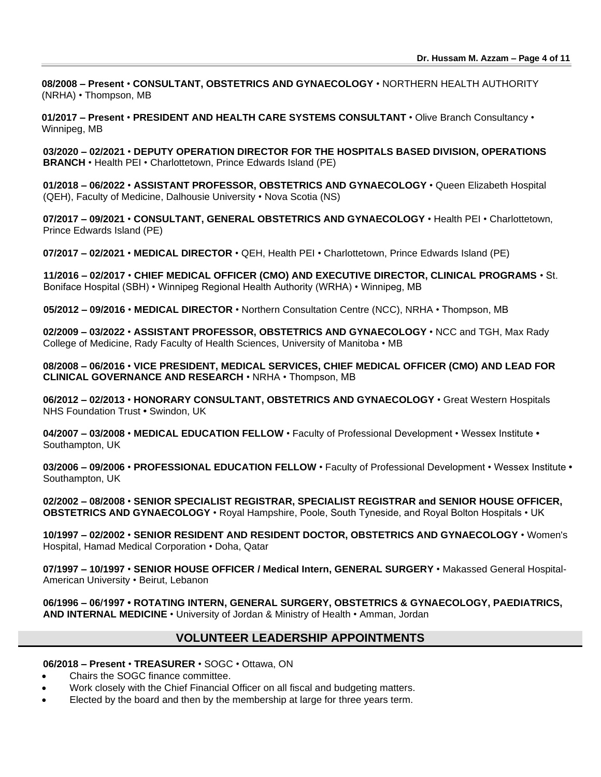**08/2008 – Present** • **CONSULTANT, OBSTETRICS AND GYNAECOLOGY** • NORTHERN HEALTH AUTHORITY (NRHA) • Thompson, MB

**01/2017 – Present** • **PRESIDENT AND HEALTH CARE SYSTEMS CONSULTANT** • Olive Branch Consultancy • Winnipeg, MB

**03/2020 – 02/2021** • **DEPUTY OPERATION DIRECTOR FOR THE HOSPITALS BASED DIVISION, OPERATIONS BRANCH** • Health PEI • Charlottetown, Prince Edwards Island (PE)

**01/2018 – 06/2022** • **ASSISTANT PROFESSOR, OBSTETRICS AND GYNAECOLOGY** • Queen Elizabeth Hospital (QEH), Faculty of Medicine, Dalhousie University • Nova Scotia (NS)

**07/2017 – 09/2021** • **CONSULTANT, GENERAL OBSTETRICS AND GYNAECOLOGY** • Health PEI • Charlottetown, Prince Edwards Island (PE)

**07/2017 – 02/2021** • **MEDICAL DIRECTOR** • QEH, Health PEI • Charlottetown, Prince Edwards Island (PE)

**11/2016 – 02/2017** • **CHIEF MEDICAL OFFICER (CMO) AND EXECUTIVE DIRECTOR, CLINICAL PROGRAMS** • St. Boniface Hospital (SBH) • Winnipeg Regional Health Authority (WRHA) • Winnipeg, MB

**05/2012 – 09/2016** • **MEDICAL DIRECTOR** • Northern Consultation Centre (NCC), NRHA • Thompson, MB

**02/2009 – 03/2022** • **ASSISTANT PROFESSOR, OBSTETRICS AND GYNAECOLOGY** • NCC and TGH, Max Rady College of Medicine, Rady Faculty of Health Sciences, University of Manitoba • MB

**08/2008 – 06/2016** • **VICE PRESIDENT, MEDICAL SERVICES, CHIEF MEDICAL OFFICER (CMO) AND LEAD FOR CLINICAL GOVERNANCE AND RESEARCH** • NRHA • Thompson, MB

**06/2012 – 02/2013** • **HONORARY CONSULTANT, OBSTETRICS AND GYNAECOLOGY** • Great Western Hospitals NHS Foundation Trust **•** Swindon, UK

**04/2007 – 03/2008** • **MEDICAL EDUCATION FELLOW** • Faculty of Professional Development • Wessex Institute **•**  Southampton, UK

**03/2006 – 09/2006** • **PROFESSIONAL EDUCATION FELLOW** • Faculty of Professional Development • Wessex Institute **•**  Southampton, UK

**02/2002 – 08/2008** • **SENIOR SPECIALIST REGISTRAR, SPECIALIST REGISTRAR and SENIOR HOUSE OFFICER, OBSTETRICS AND GYNAECOLOGY** • Royal Hampshire, Poole, South Tyneside, and Royal Bolton Hospitals • UK

**10/1997 – 02/2002** • **SENIOR RESIDENT AND RESIDENT DOCTOR, OBSTETRICS AND GYNAECOLOGY** • Women's Hospital, Hamad Medical Corporation • Doha, Qatar

**07/1997 – 10/1997** • **SENIOR HOUSE OFFICER / Medical Intern, GENERAL SURGERY** • Makassed General Hospital-American University • Beirut, Lebanon

**06/1996 – 06/1997 • ROTATING INTERN, GENERAL SURGERY, OBSTETRICS & GYNAECOLOGY, PAEDIATRICS, AND INTERNAL MEDICINE** • University of Jordan & Ministry of Health • Amman, Jordan

## **VOLUNTEER LEADERSHIP APPOINTMENTS**

#### **06/2018 – Present** • **TREASURER** • SOGC • Ottawa, ON

- Chairs the SOGC finance committee.
- Work closely with the Chief Financial Officer on all fiscal and budgeting matters.
- Elected by the board and then by the membership at large for three years term.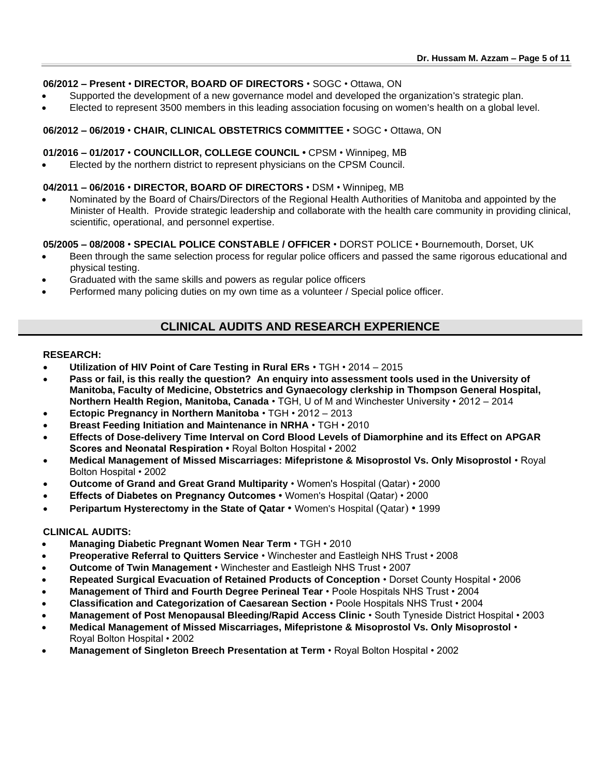### **06/2012 – Present** • **DIRECTOR, BOARD OF DIRECTORS** • SOGC • Ottawa, ON

- Supported the development of a new governance model and developed the organization's strategic plan.
- Elected to represent 3500 members in this leading association focusing on women's health on a global level.

#### **06/2012 – 06/2019** • **CHAIR, CLINICAL OBSTETRICS COMMITTEE** • SOGC • Ottawa, ON

#### **01/2016 – 01/2017** • **COUNCILLOR, COLLEGE COUNCIL •** CPSM • Winnipeg, MB

• Elected by the northern district to represent physicians on the CPSM Council.

#### **04/2011 – 06/2016** • **DIRECTOR, BOARD OF DIRECTORS** • DSM • Winnipeg, MB

• Nominated by the Board of Chairs/Directors of the Regional Health Authorities of Manitoba and appointed by the Minister of Health. Provide strategic leadership and collaborate with the health care community in providing clinical, scientific, operational, and personnel expertise.

#### **05/2005 – 08/2008** • **SPECIAL POLICE CONSTABLE / OFFICER** • DORST POLICE • Bournemouth, Dorset, UK

- Been through the same selection process for regular police officers and passed the same rigorous educational and physical testing.
- Graduated with the same skills and powers as regular police officers
- Performed many policing duties on my own time as a volunteer / Special police officer.

# **CLINICAL AUDITS AND RESEARCH EXPERIENCE**

#### **RESEARCH:**

- **Utilization of HIV Point of Care Testing in Rural ERs** TGH 2014 2015
- **Pass or fail, is this really the question? An enquiry into assessment tools used in the University of Manitoba, Faculty of Medicine, Obstetrics and Gynaecology clerkship in Thompson General Hospital, Northern Health Region, Manitoba, Canada** • TGH, U of M and Winchester University • 2012 – 2014
- **Ectopic Pregnancy in Northern Manitoba** TGH 2012 2013
- **Breast Feeding Initiation and Maintenance in NRHA** TGH 2010
- **Effects of Dose-delivery Time Interval on Cord Blood Levels of Diamorphine and its Effect on APGAR Scores and Neonatal Respiration •** Royal Bolton Hospital • 2002
- **Medical Management of Missed Miscarriages: Mifepristone & Misoprostol Vs. Only Misoprostol** Royal Bolton Hospital • 2002
- **Outcome of Grand and Great Grand Multiparity** Women's Hospital (Qatar) 2000
- **Effects of Diabetes on Pregnancy Outcomes** Women's Hospital (Qatar) 2000
- **Peripartum Hysterectomy in the State of Qatar**  Women's Hospital (Qatar) 1999

#### **CLINICAL AUDITS:**

- **Managing Diabetic Pregnant Women Near Term** TGH 2010
- **Preoperative Referral to Quitters Service** Winchester and Eastleigh NHS Trust 2008
- **Outcome of Twin Management** Winchester and Eastleigh NHS Trust 2007
- **Repeated Surgical Evacuation of Retained Products of Conception** Dorset County Hospital 2006
- **Management of Third and Fourth Degree Perineal Tear** Poole Hospitals NHS Trust 2004
- **Classification and Categorization of Caesarean Section** Poole Hospitals NHS Trust 2004
- **Management of Post Menopausal Bleeding/Rapid Access Clinic** South Tyneside District Hospital 2003
- **Medical Management of Missed Miscarriages, Mifepristone & Misoprostol Vs. Only Misoprostol** •
- Royal Bolton Hospital 2002
- **Management of Singleton Breech Presentation at Term** Royal Bolton Hospital 2002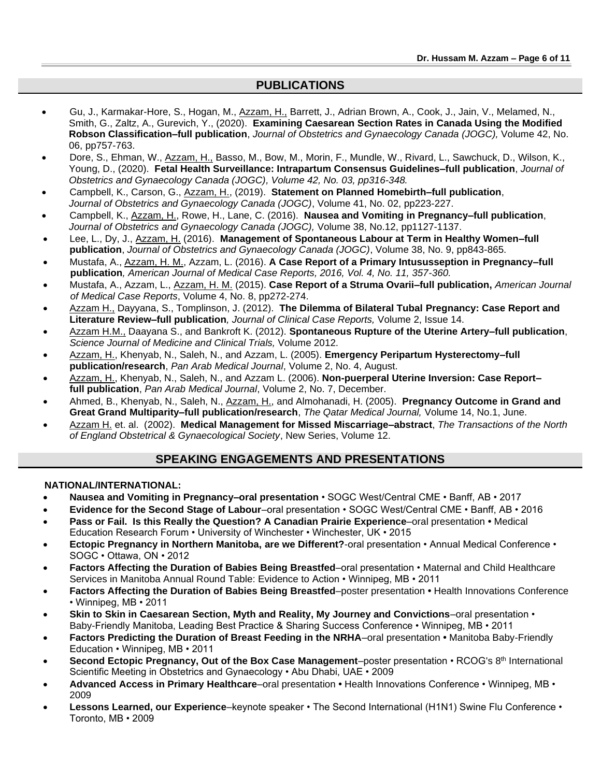## **PUBLICATIONS**

- Gu, J., Karmakar-Hore, S., Hogan, M., Azzam, H., Barrett, J., Adrian Brown, A., Cook, J., Jain, V., Melamed, N., Smith, G., Zaltz, A., Gurevich, Y., (2020). **Examining Caesarean Section Rates in Canada Using the Modified Robson Classification–full publication**, *Journal of Obstetrics and Gynaecology Canada (JOGC),* Volume 42, No. 06, pp757-763.
- Dore, S., Ehman, W., Azzam, H., Basso, M., Bow, M., Morin, F., Mundle, W., Rivard, L., Sawchuck, D., Wilson, K., Young, D., (2020). **Fetal Health Surveillance: Intrapartum Consensus Guidelines–full publication**, *Journal of Obstetrics and Gynaecology Canada (JOGC), Volume 42, No. 03, pp316-348.*
- Campbell, K., Carson, G., Azzam, H., (2019). **Statement on Planned Homebirth–full publication**, *Journal of Obstetrics and Gynaecology Canada (JOGC)*, Volume 41, No. 02, pp223-227.
- Campbell, K., Azzam, H., Rowe, H., Lane, C. (2016). **Nausea and Vomiting in Pregnancy–full publication**, *Journal of Obstetrics and Gynaecology Canada (JOGC),* Volume 38, No.12, pp1127-1137.
- Lee, L., Dy, J., Azzam, H. (2016). **Management of Spontaneous Labour at Term in Healthy Women–full publication**, *Journal of Obstetrics and Gynaecology Canada (JOGC)*, Volume 38, No. 9, pp843-865.
- Mustafa, A., Azzam, H. M., Azzam, L. (2016). **A Case Report of a Primary Intususseption in Pregnancy–full publication***, American Journal of Medical Case Reports, 2016, Vol. 4, No. 11, 357-360.*
- Mustafa, A., Azzam, L., Azzam, H. M. (2015). **Case Report of a Struma Ovarii–full publication,** *American Journal of Medical Case Reports*, Volume 4, No. 8, pp272-274.
- Azzam H., Dayyana, S., Tomplinson, J. (2012). **The Dilemma of Bilateral Tubal Pregnancy: Case Report and Literature Review–full publication***, Journal of Clinical Case Reports,* Volume 2, Issue 14.
- Azzam H.M., Daayana S., and Bankroft K. (2012). **Spontaneous Rupture of the Uterine Artery–full publication**, *Science Journal of Medicine and Clinical Trials,* Volume 2012.
- Azzam, H., Khenyab, N., Saleh, N., and Azzam, L. (2005). **Emergency Peripartum Hysterectomy–full publication/research**, *Pan Arab Medical Journal*, Volume 2, No. 4, August.
- Azzam, H., Khenyab, N., Saleh, N., and Azzam L. (2006). **Non-puerperal Uterine Inversion: Case Report– full publication**, *Pan Arab Medical Journal*, Volume 2, No. 7, December.
- Ahmed, B., Khenyab, N., Saleh, N., Azzam, H., and Almohanadi, H. (2005). **Pregnancy Outcome in Grand and Great Grand Multiparity–full publication/research**, *The Qatar Medical Journal,* Volume 14, No.1, June.
- Azzam H. et. al. (2002). **Medical Management for Missed Miscarriage–abstract**, *The Transactions of the North of England Obstetrical & Gynaecological Society*, New Series, Volume 12.

## **SPEAKING ENGAGEMENTS AND PRESENTATIONS**

### **NATIONAL/INTERNATIONAL:**

- **Nausea and Vomiting in Pregnancy–oral presentation** SOGC West/Central CME Banff, AB 2017
- **Evidence for the Second Stage of Labour**–oral presentation SOGC West/Central CME Banff, AB 2016
- **Pass or Fail. Is this Really the Question? A Canadian Prairie Experience**–oral presentation Medical Education Research Forum • University of Winchester • Winchester, UK • 2015
- **Ectopic Pregnancy in Northern Manitoba, are we Different?**-oral presentation Annual Medical Conference SOGC • Ottawa, ON • 2012
- **Factors Affecting the Duration of Babies Being Breastfed**–oral presentation Maternal and Child Healthcare Services in Manitoba Annual Round Table: Evidence to Action • Winnipeg, MB • 2011
- **Factors Affecting the Duration of Babies Being Breastfed**–poster presentation Health Innovations Conference • Winnipeg, MB • 2011
- **Skin to Skin in Caesarean Section, Myth and Reality, My Journey and Convictions**–oral presentation Baby-Friendly Manitoba, Leading Best Practice & Sharing Success Conference • Winnipeg, MB • 2011
- **Factors Predicting the Duration of Breast Feeding in the NRHA**–oral presentation Manitoba Baby-Friendly Education • Winnipeg, MB • 2011
- **Second Ectopic Pregnancy, Out of the Box Case Management–poster presentation RCOG's 8<sup>th</sup> International** Scientific Meeting in Obstetrics and Gynaecology • Abu Dhabi, UAE • 2009
- **Advanced Access in Primary Healthcare**–oral presentation Health Innovations Conference Winnipeg, MB 2009
- **Lessons Learned, our Experience**–keynote speaker The Second International (H1N1) Swine Flu Conference Toronto, MB • 2009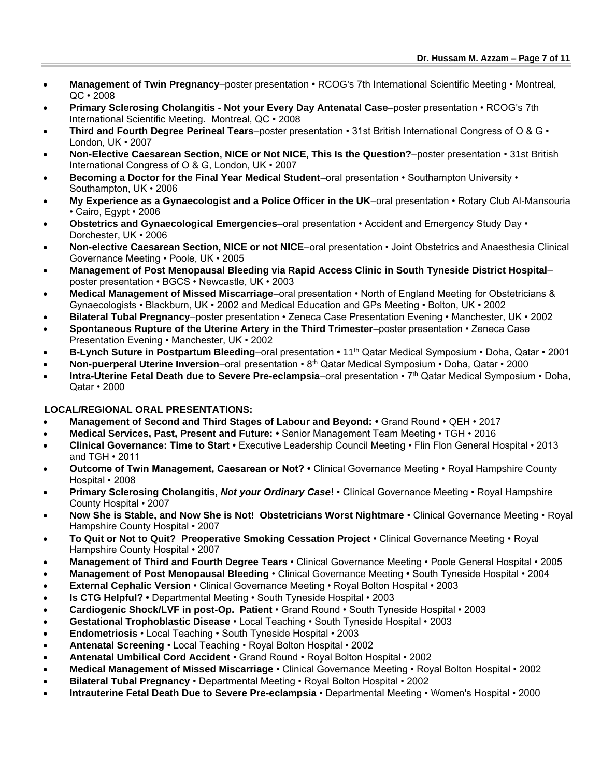- **Management of Twin Pregnancy**–poster presentation RCOG's 7th International Scientific Meeting Montreal, QC • 2008
- **Primary Sclerosing Cholangitis - Not your Every Day Antenatal Case**–poster presentation RCOG's 7th International Scientific Meeting. Montreal, QC • 2008
- **Third and Fourth Degree Perineal Tears**–poster presentation 31st British International Congress of O & G London, UK • 2007
- **Non-Elective Caesarean Section, NICE or Not NICE, This Is the Question?**–poster presentation 31st British International Congress of O & G, London, UK • 2007
- **Becoming a Doctor for the Final Year Medical Student**–oral presentation Southampton University Southampton, UK • 2006
- **My Experience as a Gynaecologist and a Police Officer in the UK**–oral presentation Rotary Club Al-Mansouria • Cairo, Egypt • 2006
- **Obstetrics and Gynaecological Emergencies**–oral presentation Accident and Emergency Study Day Dorchester, UK • 2006
- **Non-elective Caesarean Section, NICE or not NICE**–oral presentation Joint Obstetrics and Anaesthesia Clinical Governance Meeting • Poole, UK • 2005
- **Management of Post Menopausal Bleeding via Rapid Access Clinic in South Tyneside District Hospital** poster presentation • BGCS • Newcastle, UK • 2003
- **Medical Management of Missed Miscarriage**–oral presentation North of England Meeting for Obstetricians & Gynaecologists • Blackburn, UK • 2002 and Medical Education and GPs Meeting • Bolton, UK • 2002
- **Bilateral Tubal Pregnancy**–poster presentation Zeneca Case Presentation Evening Manchester, UK 2002
- **Spontaneous Rupture of the Uterine Artery in the Third Trimester**–poster presentation Zeneca Case Presentation Evening • Manchester, UK • 2002
- **B-Lynch Suture in Postpartum Bleeding**–oral presentation 11th Qatar Medical Symposium Doha, Qatar 2001
- **Non-puerperal Uterine Inversion**–oral presentation 8th Qatar Medical Symposium Doha, Qatar 2000
- **Intra-Uterine Fetal Death due to Severe Pre-eclampsia**–oral presentation 7th Qatar Medical Symposium Doha, Qatar • 2000

### **LOCAL/REGIONAL ORAL PRESENTATIONS:**

- **Management of Second and Third Stages of Labour and Beyond:** Grand Round QEH 2017
- **Medical Services, Past, Present and Future:** Senior Management Team Meeting TGH 2016
- **Clinical Governance: Time to Start** Executive Leadership Council Meeting Flin Flon General Hospital 2013 and TGH • 2011
- **Outcome of Twin Management, Caesarean or Not?** Clinical Governance Meeting Royal Hampshire County Hospital • 2008
- **Primary Sclerosing Cholangitis,** *Not your Ordinary Case***!**  Clinical Governance Meeting Royal Hampshire County Hospital • 2007
- **Now She is Stable, and Now She is Not! Obstetricians Worst Nightmare**  Clinical Governance Meeting Royal Hampshire County Hospital • 2007
- **To Quit or Not to Quit? Preoperative Smoking Cessation Project**  Clinical Governance Meeting Royal Hampshire County Hospital • 2007
- **Management of Third and Fourth Degree Tears**  Clinical Governance Meeting Poole General Hospital 2005
- **Management of Post Menopausal Bleeding**  Clinical Governance Meeting South Tyneside Hospital 2004
- **External Cephalic Version**  Clinical Governance Meeting Royal Bolton Hospital 2003
- **Is CTG Helpful?** Departmental Meeting South Tyneside Hospital 2003
- **Cardiogenic Shock/LVF in post-Op. Patient**  Grand Round South Tyneside Hospital 2003
- **Gestational Trophoblastic Disease**  Local Teaching South Tyneside Hospital 2003
- **Endometriosis**  Local Teaching South Tyneside Hospital 2003
- **Antenatal Screening**  Local Teaching Royal Bolton Hospital 2002
- **Antenatal Umbilical Cord Accident**  Grand Round Royal Bolton Hospital 2002
- **Medical Management of Missed Miscarriage**  Clinical Governance Meeting Royal Bolton Hospital 2002
- **Bilateral Tubal Pregnancy**  Departmental Meeting Royal Bolton Hospital 2002
- **Intrauterine Fetal Death Due to Severe Pre-eclampsia**  Departmental Meeting Women's Hospital 2000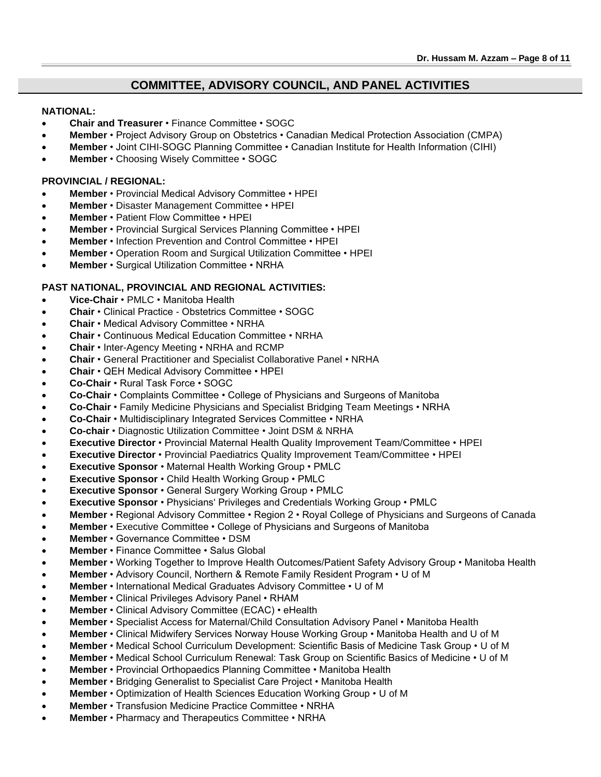## **COMMITTEE, ADVISORY COUNCIL, AND PANEL ACTIVITIES**

#### **NATIONAL:**

- **Chair and Treasurer**  Finance Committee SOGC
- **Member**  Project Advisory Group on Obstetrics Canadian Medical Protection Association (CMPA)
- **Member**  Joint CIHI-SOGC Planning Committee Canadian Institute for Health Information (CIHI)
- **Member**  Choosing Wisely Committee SOGC

#### **PROVINCIAL / REGIONAL:**

- **Member** Provincial Medical Advisory Committee HPEI
- **Member** Disaster Management Committee HPEI
- **Member** Patient Flow Committee HPEI
- **Member** Provincial Surgical Services Planning Committee HPEI
- **Member** Infection Prevention and Control Committee HPEI
- **Member** Operation Room and Surgical Utilization Committee HPEI
- **Member** Surgical Utilization Committee NRHA

#### **PAST NATIONAL, PROVINCIAL AND REGIONAL ACTIVITIES:**

- **Vice-Chair**  PMLC Manitoba Health
- **Chair**  Clinical Practice Obstetrics Committee SOGC
- **Chair** Medical Advisory Committee NRHA
- **Chair** Continuous Medical Education Committee NRHA
- **Chair** Inter-Agency Meeting NRHA and RCMP
- **Chair**  General Practitioner and Specialist Collaborative Panel NRHA
- **Chair** QEH Medical Advisory Committee HPEI
- **Co-Chair** Rural Task Force SOGC
- **Co-Chair** Complaints Committee College of Physicians and Surgeons of Manitoba
- **Co-Chair**  Family Medicine Physicians and Specialist Bridging Team Meetings NRHA
- **Co-Chair** Multidisciplinary Integrated Services Committee NRHA
- **Co-chair**  Diagnostic Utilization Committee Joint DSM & NRHA
- **Executive Director** Provincial Maternal Health Quality Improvement Team/Committee HPEI
- **Executive Director**  Provincial Paediatrics Quality Improvement Team/Committee HPEI
- **Executive Sponsor** Maternal Health Working Group PMLC
- **Executive Sponsor** Child Health Working Group PMLC
- **Executive Sponsor** General Surgery Working Group PMLC
- **Executive Sponsor** Physicians' Privileges and Credentials Working Group PMLC
- **Member**  Regional Advisory Committee Region 2 Royal College of Physicians and Surgeons of Canada
- **Member**  Executive Committee College of Physicians and Surgeons of Manitoba
- **Member** Governance Committee DSM
- **Member**  Finance Committee Salus Global
- **Member** Working Together to Improve Health Outcomes/Patient Safety Advisory Group Manitoba Health
- **Member** Advisory Council, Northern & Remote Family Resident Program U of M
- **Member** International Medical Graduates Advisory Committee U of M
- **Member**  Clinical Privileges Advisory Panel RHAM
- **Member**  Clinical Advisory Committee (ECAC) eHealth
- **Member** Specialist Access for Maternal/Child Consultation Advisory Panel Manitoba Health
- **Member** Clinical Midwifery Services Norway House Working Group Manitoba Health and U of M
- **Member**  Medical School Curriculum Development: Scientific Basis of Medicine Task Group U of M
- **Member**  Medical School Curriculum Renewal: Task Group on Scientific Basics of Medicine U of M
- **Member** Provincial Orthopaedics Planning Committee Manitoba Health
- **Member**  Bridging Generalist to Specialist Care Project Manitoba Health
- **Member** Optimization of Health Sciences Education Working Group U of M
- **Member** Transfusion Medicine Practice Committee NRHA
- **Member** Pharmacy and Therapeutics Committee NRHA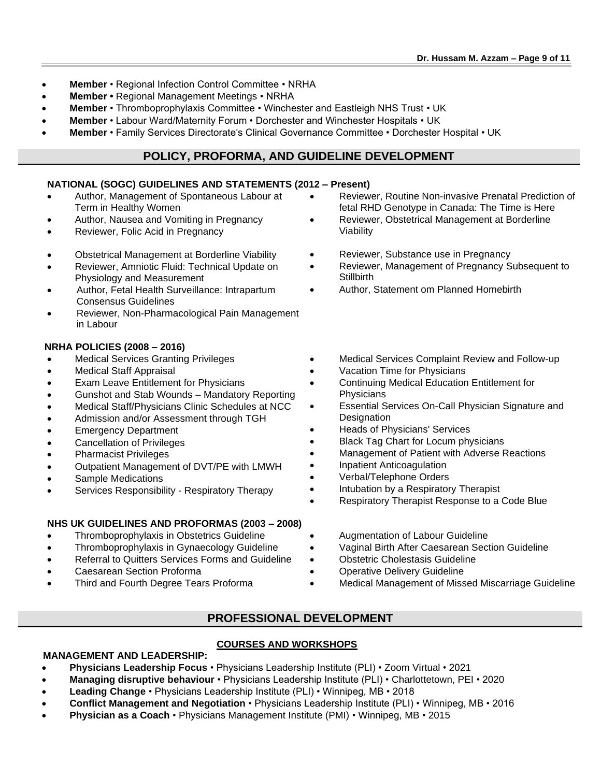- **Member** Regional Infection Control Committee NRHA
- **Member** Regional Management Meetings NRHA
- **Member** Thromboprophylaxis Committee Winchester and Eastleigh NHS Trust UK
- **Member** Labour Ward/Maternity Forum Dorchester and Winchester Hospitals UK
- **Member** Family Services Directorate's Clinical Governance Committee Dorchester Hospital UK

# **POLICY, PROFORMA, AND GUIDELINE DEVELOPMENT**

### **NATIONAL (SOGC) GUIDELINES AND STATEMENTS (2012 – Present)**

- Author, Management of Spontaneous Labour at Term in Healthy Women
- Author, Nausea and Vomiting in Pregnancy
- Reviewer, Folic Acid in Pregnancy
- Obstetrical Management at Borderline Viability
- Reviewer, Amniotic Fluid: Technical Update on Physiology and Measurement
- Author, Fetal Health Surveillance: Intrapartum Consensus Guidelines
- Reviewer, Non-Pharmacological Pain Management in Labour

### **NRHA POLICIES (2008 – 2016)**

- Medical Services Granting Privileges
- Medical Staff Appraisal
- Exam Leave Entitlement for Physicians
- Gunshot and Stab Wounds Mandatory Reporting
- Medical Staff/Physicians Clinic Schedules at NCC
- Admission and/or Assessment through TGH
- Emergency Department
- Cancellation of Privileges
- Pharmacist Privileges
- Outpatient Management of DVT/PE with LMWH
- Sample Medications
- Services Responsibility Respiratory Therapy

## **NHS UK GUIDELINES AND PROFORMAS (2003 – 2008)**

- Thromboprophylaxis in Obstetrics Guideline
- Thromboprophylaxis in Gynaecology Guideline
- Referral to Quitters Services Forms and Guideline
- Caesarean Section Proforma
- Third and Fourth Degree Tears Proforma
- Reviewer, Routine Non-invasive Prenatal Prediction of fetal RHD Genotype in Canada: The Time is Here
- Reviewer, Obstetrical Management at Borderline Viability
- Reviewer, Substance use in Pregnancy
- Reviewer, Management of Pregnancy Subsequent to **Stillbirth**
- Author, Statement om Planned Homebirth
- Medical Services Complaint Review and Follow-up
- Vacation Time for Physicians
- Continuing Medical Education Entitlement for **Physicians**
- Essential Services On-Call Physician Signature and **Designation**
- Heads of Physicians' Services
- Black Tag Chart for Locum physicians
- Management of Patient with Adverse Reactions
- Inpatient Anticoagulation
- Verbal/Telephone Orders
- Intubation by a Respiratory Therapist
- Respiratory Therapist Response to a Code Blue
- Augmentation of Labour Guideline
- Vaginal Birth After Caesarean Section Guideline
- Obstetric Cholestasis Guideline
- **Operative Delivery Guideline**
- Medical Management of Missed Miscarriage Guideline

# **PROFESSIONAL DEVELOPMENT**

## **COURSES AND WORKSHOPS**

## **MANAGEMENT AND LEADERSHIP:**

- **Physicians Leadership Focus** Physicians Leadership Institute (PLI) Zoom Virtual 2021
- **Managing disruptive behaviour** Physicians Leadership Institute (PLI) Charlottetown, PEI 2020
- **Leading Change** Physicians Leadership Institute (PLI) Winnipeg, MB 2018
- **Conflict Management and Negotiation**  Physicians Leadership Institute (PLI) Winnipeg, MB 2016
- **Physician as a Coach** Physicians Management Institute (PMI) Winnipeg, MB 2015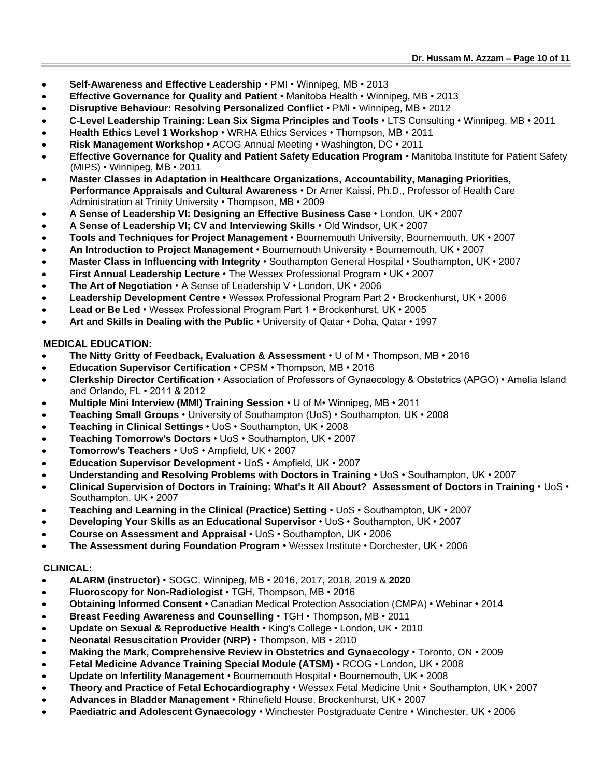- **Self-Awareness and Effective Leadership** PMI Winnipeg, MB 2013
- **Effective Governance for Quality and Patient** Manitoba Health Winnipeg, MB 2013
- **Disruptive Behaviour: Resolving Personalized Conflict** PMI Winnipeg, MB 2012
- **C-Level Leadership Training: Lean Six Sigma Principles and Tools** LTS Consulting Winnipeg, MB 2011
- **Health Ethics Level 1 Workshop** WRHA Ethics Services Thompson, MB 2011
- **Risk Management Workshop** ACOG Annual Meeting Washington, DC 2011
- **Effective Governance for Quality and Patient Safety Education Program** Manitoba Institute for Patient Safety (MIPS) • Winnipeg, MB • 2011
- **Master Classes in Adaptation in Healthcare Organizations, Accountability, Managing Priorities, Performance Appraisals and Cultural Awareness** • Dr Amer Kaissi, Ph.D., Professor of Health Care Administration at Trinity University • Thompson, MB • 2009
- **A Sense of Leadership VI: Designing an Effective Business Case** London, UK 2007
- **A Sense of Leadership VI; CV and Interviewing Skills** Old Windsor, UK 2007
- **Tools and Techniques for Project Management** Bournemouth University, Bournemouth, UK 2007
- **An Introduction to Project Management** Bournemouth University Bournemouth, UK 2007
- **Master Class in Influencing with Integrity** Southampton General Hospital Southampton, UK 2007
- **First Annual Leadership Lecture** The Wessex Professional Program UK 2007
- **The Art of Negotiation**  A Sense of Leadership V London, UK 2006
- **Leadership Development Centre** Wessex Professional Program Part 2 Brockenhurst, UK 2006
- **Lead or Be Led** Wessex Professional Program Part 1 Brockenhurst, UK 2005
- **Art and Skills in Dealing with the Public** University of Qatar Doha, Qatar 1997

### **MEDICAL EDUCATION:**

- **The Nitty Gritty of Feedback, Evaluation & Assessment**  U of M Thompson, MB 2016
- **Education Supervisor Certification**  CPSM Thompson, MB 2016
- **Clerkship Director Certification** Association of Professors of Gynaecology & Obstetrics (APGO) Amelia Island and Orlando, FL • 2011 & 2012
- **Multiple Mini Interview (MMI) Training Session**  U of M• Winnipeg, MB 2011
- **Teaching Small Groups** University of Southampton (UoS) Southampton, UK 2008
- **Teaching in Clinical Settings** UoS Southampton, UK 2008
- **Teaching Tomorrow's Doctors**  UoS Southampton, UK 2007
- **[Tomorrow's Teachers](http://www.suht.soton.ac.uk/Wessex_Courses/professi.htm#Tteachers#Tteachers)**  UoS Ampfield, UK 2007
- **Education Supervisor Development** UoS Ampfield, UK 2007
- **Understanding and Resolving Problems with Doctors in Training** UoS Southampton, UK 2007
- **Clinical Supervision of Doctors in Training: What's It All About? Assessment of Doctors in Training** UoS Southampton, UK • 2007
- **Teaching and Learning in the Clinical (Practice) Setting** UoS Southampton, UK 2007
- **Developing Your Skills as an Educational Supervisor** UoS Southampton, UK 2007
- **Course on Assessment and Appraisal** UoS Southampton, UK 2006
- **The Assessment during Foundation Program •** Wessex Institute Dorchester, UK 2006

### **CLINICAL:**

- **ALARM (instructor)** SOGC, Winnipeg, MB 2016, 2017, 2018, 2019 & **2020**
- **Fluoroscopy for Non-Radiologist** TGH, Thompson, MB 2016
- **Obtaining Informed Consent** Canadian Medical Protection Association (CMPA) Webinar 2014
- **Breast Feeding Awareness and Counselling** TGH Thompson, MB 2011
- **Update on Sexual & Reproductive Health** King's College London, UK 2010
- **Neonatal Resuscitation Provider (NRP)** Thompson, MB 2010
- **Making the Mark, Comprehensive Review in Obstetrics and Gynaecology** Toronto, ON 2009
- **Fetal Medicine Advance Training Special Module (ATSM)** RCOG London, UK 2008
- **Update on Infertility Management** Bournemouth Hospital Bournemouth, UK 2008
- **Theory and Practice of Fetal Echocardiography** Wessex Fetal Medicine Unit Southampton, UK 2007
- **Advances in Bladder Management** Rhinefield House, Brockenhurst, UK 2007
- **Paediatric and Adolescent Gynaecology** Winchester Postgraduate Centre Winchester, UK 2006